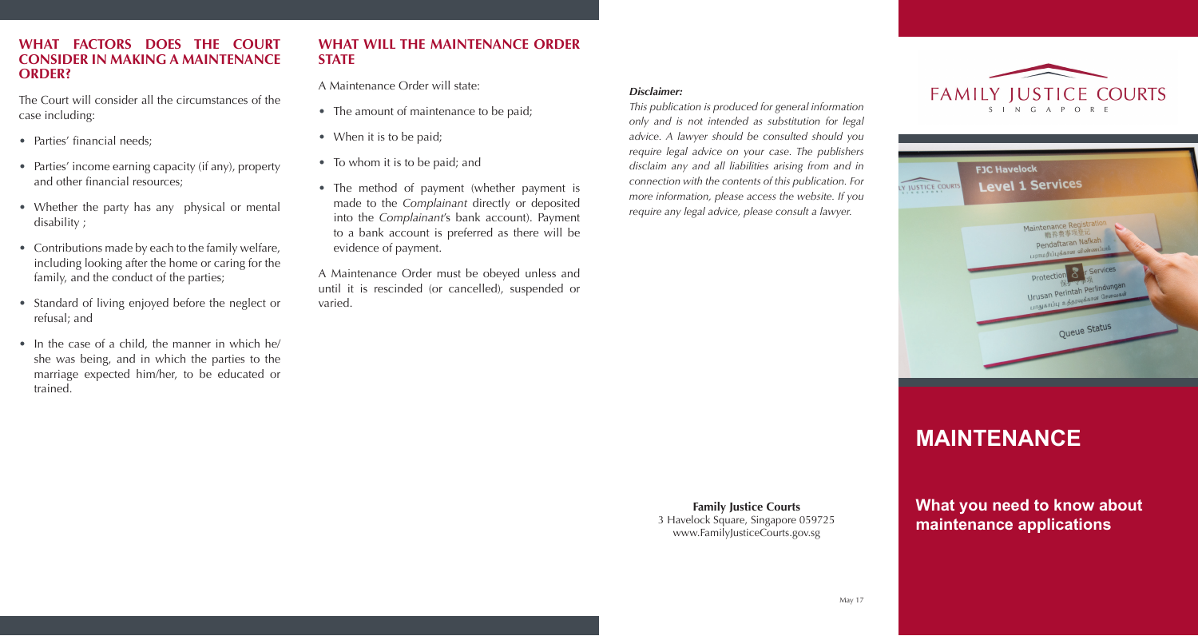#### **WHAT FACTORS DOES THE COURT CONSIDER IN MAKING A MAINTENANCE ORDER?**

The Court will consider all the circumstances of the case including:

- Parties' financial needs:
- Parties' income earning capacity (if any), property and other financial resources;
- Whether the party has any physical or mental disability ;
- Contributions made by each to the family welfare, including looking after the home or caring for the family, and the conduct of the parties;
- Standard of living enjoyed before the neglect or refusal; and
- In the case of a child, the manner in which he/ she was being, and in which the parties to the marriage expected him/her, to be educated or trained.

#### **WHAT WILL THE MAINTENANCE ORDER STATE**

#### A Maintenance Order will state:

- The amount of maintenance to be paid;
- When it is to be paid;
- To whom it is to be paid; and
- The method of payment (whether payment is made to the *Complainant* directly or deposited into the *Complainant*'s bank account). Payment to a bank account is preferred as there will be evidence of payment.
- A Maintenance Order must be obeyed unless and until it is rescinded (or cancelled), suspended or varied.

#### *Disclaimer:*

*This publication is produced for general information only and is not intended as substitution for legal advice. A lawyer should be consulted should you require legal advice on your case. The publishers disclaim any and all liabilities arising from and in connection with the contents of this publication. For more information, please access the website. If you require any legal advice, please consult a lawyer.*





# **MAINTENANCE**

**What you need to know about maintenance applications**

**Family Justice Courts** 3 Havelock Square, Singapore 059725 www.FamilyJusticeCourts.gov.sg